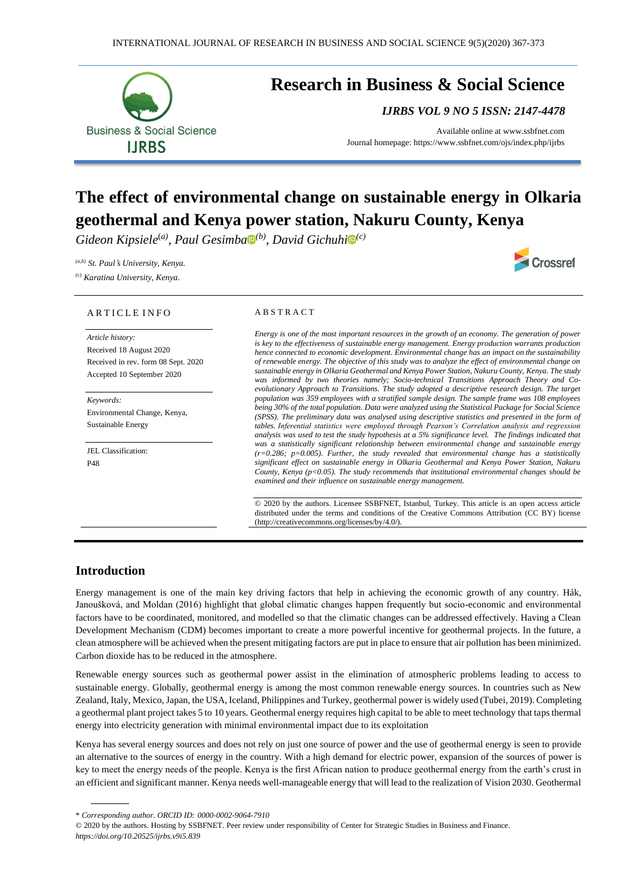

## **Research in Business & Social Science**

*IJRBS VOL 9 NO 5 ISSN: 2147-4478*

Available online a[t www.ssbfnet.com](http://www.ssbfnet.com/) Journal homepage: https://www.ssbfnet.com/ojs/index.php/ijrbs

# **The effect of environmental change on sustainable energy in Olkaria geothermal and Kenya power station, Nakuru County, Kenya**

*Gideon Kipsiele*(*a) , Paul Gesimb[a](https://orcid.org/0000-0002-9064-7910) (b) , David Gichuhi [\(](https://orcid.org/0000-0002-2816-4758)c)*

*(a,b) St. Paul*'*s University, Kenya. (c) Karatina University, Kenya.*



### ARTICLE INFO

*Article history:*  Received 18 August 2020 Received in rev. form 08 Sept. 2020 Accepted 10 September 2020

*Keywords:* Environmental Change, Kenya, Sustainable Energy

JEL Classification: P48

### A B S T R A C T

*Energy is one of the most important resources in the growth of an economy. The generation of power is key to the effectiveness of sustainable energy management. Energy production warrants production hence connected to economic development. Environmental change has an impact on the sustainability of renewable energy. The objective of this study was to analyze the effect of environmental change on sustainable energy in Olkaria Geothermal and Kenya Power Station, Nakuru County, Kenya. The study was informed by two theories namely; Socio-technical Transitions Approach Theory and Coevolutionary Approach to Transitions. The study adopted a descriptive research design. The target population was 359 employees with a stratified sample design. The sample frame was 108 employees being 30% of the total population. Data were analyzed using the Statistical Package for Social Science (SPSS). The preliminary data was analysed using descriptive statistics and presented in the form of tables. Inferential statistics were employed through Pearson's Correlation analysis and regression analysis was used to test the study hypothesis at a 5% significance level. The findings indicated that was a statistically significant relationship between environmental change and sustainable energy (r=0.286; p=0.005). Further, the study revealed that environmental change has a statistically significant effect on sustainable energy in Olkaria Geothermal and Kenya Power Station, Nakuru County, Kenya (p<0.05). The study recommends that institutional environmental changes should be examined and their influence on sustainable energy management.*

© 2020 by the authors. Licensee SSBFNET, Istanbul, Turkey. This article is an open access article distributed under the terms and conditions of the Creative Commons Attribution (CC BY) license (http://creativecommons.org/licenses/by/4.0/).

### **Introduction**

Energy management is one of the main key driving factors that help in achieving the economic growth of any country. Hák, Janoušková, and Moldan (2016) highlight that global climatic changes happen frequently but socio-economic and environmental factors have to be coordinated, monitored, and modelled so that the climatic changes can be addressed effectively. Having a Clean Development Mechanism (CDM) becomes important to create a more powerful incentive for geothermal projects. In the future, a clean atmosphere will be achieved when the present mitigating factors are put in place to ensure that air pollution has been minimized. Carbon dioxide has to be reduced in the atmosphere.

Renewable energy sources such as geothermal power assist in the elimination of atmospheric problems leading to access to sustainable energy. Globally, geothermal energy is among the most common renewable energy sources. In countries such as New Zealand, Italy, Mexico, Japan, the USA, Iceland, Philippines and Turkey, geothermal power is widely used (Tubei, 2019). Completing a geothermal plant project takes 5 to 10 years. Geothermal energy requires high capital to be able to meet technology that taps thermal energy into electricity generation with minimal environmental impact due to its exploitation

Kenya has several energy sources and does not rely on just one source of power and the use of geothermal energy is seen to provide an alternative to the sources of energy in the country. With a high demand for electric power, expansion of the sources of power is key to meet the energy needs of the people. Kenya is the first African nation to produce geothermal energy from the earth's crust in an efficient and significant manner. Kenya needs well-manageable energy that will lead to the realization of Vision 2030. Geothermal

\* *Corresponding author. ORCID ID: 0000-0002-9064-7910* 

© 2020 by the authors. Hosting by SSBFNET. Peer review under responsibility of Center for Strategic Studies in Business and Finance. *https://doi.org/10.20525/ijrbs.v9i5.839*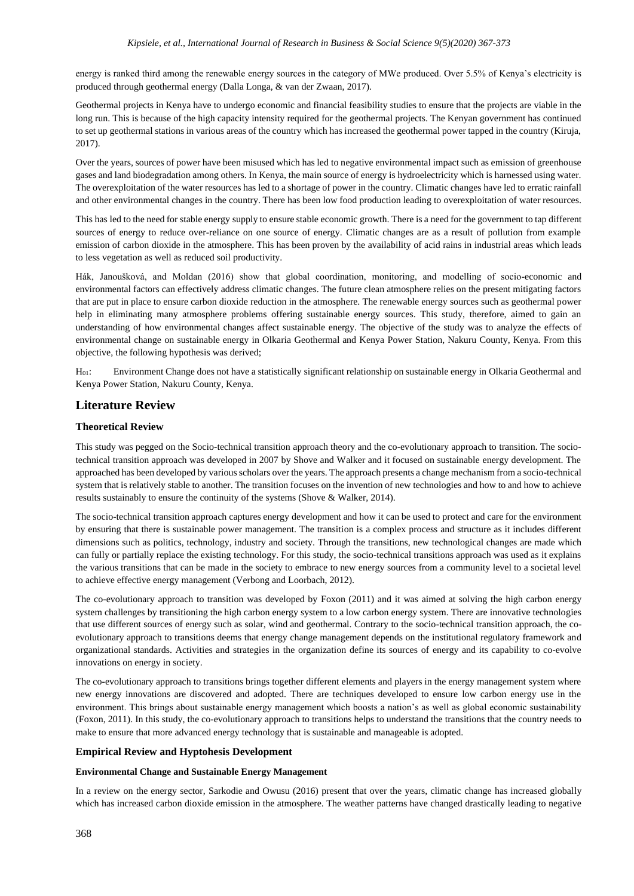energy is ranked third among the renewable energy sources in the category of MWe produced. Over 5.5% of Kenya's electricity is produced through geothermal energy (Dalla Longa, & van der Zwaan, 2017).

Geothermal projects in Kenya have to undergo economic and financial feasibility studies to ensure that the projects are viable in the long run. This is because of the high capacity intensity required for the geothermal projects. The Kenyan government has continued to set up geothermal stations in various areas of the country which has increased the geothermal power tapped in the country (Kiruja, 2017).

Over the years, sources of power have been misused which has led to negative environmental impact such as emission of greenhouse gases and land biodegradation among others. In Kenya, the main source of energy is hydroelectricity which is harnessed using water. The overexploitation of the water resources has led to a shortage of power in the country. Climatic changes have led to erratic rainfall and other environmental changes in the country. There has been low food production leading to overexploitation of water resources.

This has led to the need for stable energy supply to ensure stable economic growth. There is a need for the government to tap different sources of energy to reduce over-reliance on one source of energy. Climatic changes are as a result of pollution from example emission of carbon dioxide in the atmosphere. This has been proven by the availability of acid rains in industrial areas which leads to less vegetation as well as reduced soil productivity.

Hák, Janoušková, and Moldan (2016) show that global coordination, monitoring, and modelling of socio-economic and environmental factors can effectively address climatic changes. The future clean atmosphere relies on the present mitigating factors that are put in place to ensure carbon dioxide reduction in the atmosphere. The renewable energy sources such as geothermal power help in eliminating many atmosphere problems offering sustainable energy sources. This study, therefore, aimed to gain an understanding of how environmental changes affect sustainable energy. The objective of the study was to analyze the effects of environmental change on sustainable energy in Olkaria Geothermal and Kenya Power Station, Nakuru County, Kenya. From this objective, the following hypothesis was derived;

H01: Environment Change does not have a statistically significant relationship on sustainable energy in Olkaria Geothermal and Kenya Power Station, Nakuru County, Kenya.

### **Literature Review**

### **Theoretical Review**

This study was pegged on the Socio-technical transition approach theory and the co-evolutionary approach to transition. The sociotechnical transition approach was developed in 2007 by Shove and Walker and it focused on sustainable energy development. The approached has been developed by various scholars over the years. The approach presents a change mechanism from a socio-technical system that is relatively stable to another. The transition focuses on the invention of new technologies and how to and how to achieve results sustainably to ensure the continuity of the systems (Shove & Walker, 2014).

The socio-technical transition approach captures energy development and how it can be used to protect and care for the environment by ensuring that there is sustainable power management. The transition is a complex process and structure as it includes different dimensions such as politics, technology, industry and society. Through the transitions, new technological changes are made which can fully or partially replace the existing technology. For this study, the socio-technical transitions approach was used as it explains the various transitions that can be made in the society to embrace to new energy sources from a community level to a societal level to achieve effective energy management (Verbong and Loorbach, 2012).

The co-evolutionary approach to transition was developed by Foxon (2011) and it was aimed at solving the high carbon energy system challenges by transitioning the high carbon energy system to a low carbon energy system. There are innovative technologies that use different sources of energy such as solar, wind and geothermal. Contrary to the socio-technical transition approach, the coevolutionary approach to transitions deems that energy change management depends on the institutional regulatory framework and organizational standards. Activities and strategies in the organization define its sources of energy and its capability to co-evolve innovations on energy in society.

The co-evolutionary approach to transitions brings together different elements and players in the energy management system where new energy innovations are discovered and adopted. There are techniques developed to ensure low carbon energy use in the environment. This brings about sustainable energy management which boosts a nation's as well as global economic sustainability (Foxon, 2011). In this study, the co-evolutionary approach to transitions helps to understand the transitions that the country needs to make to ensure that more advanced energy technology that is sustainable and manageable is adopted.

### **Empirical Review and Hyptohesis Development**

### **Environmental Change and Sustainable Energy Management**

In a review on the energy sector, Sarkodie and Owusu (2016) present that over the years, climatic change has increased globally which has increased carbon dioxide emission in the atmosphere. The weather patterns have changed drastically leading to negative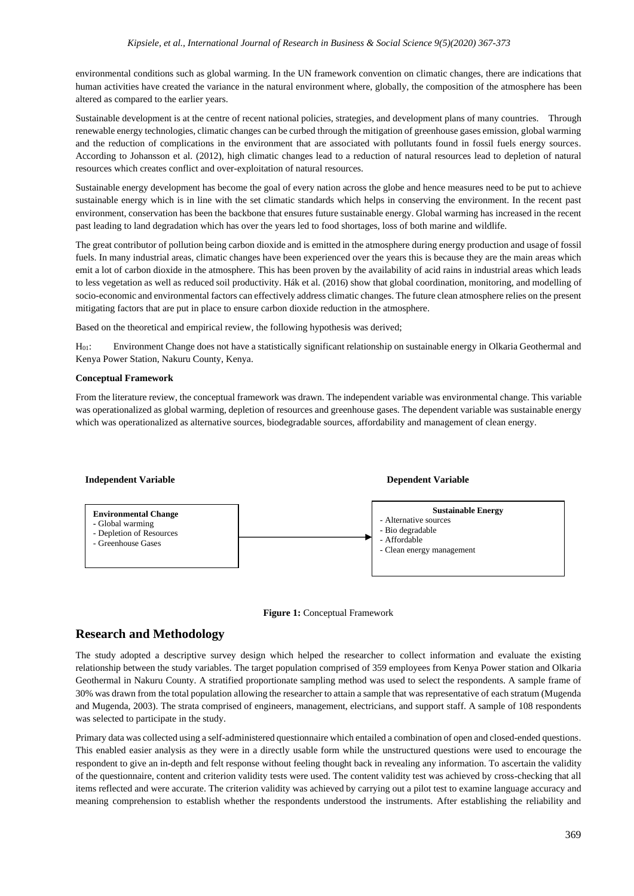environmental conditions such as global warming. In the UN framework convention on climatic changes, there are indications that human activities have created the variance in the natural environment where, globally, the composition of the atmosphere has been altered as compared to the earlier years.

Sustainable development is at the centre of recent national policies, strategies, and development plans of many countries. Through renewable energy technologies, climatic changes can be curbed through the mitigation of greenhouse gases emission, global warming and the reduction of complications in the environment that are associated with pollutants found in fossil fuels energy sources. According to Johansson et al. (2012), high climatic changes lead to a reduction of natural resources lead to depletion of natural resources which creates conflict and over-exploitation of natural resources.

Sustainable energy development has become the goal of every nation across the globe and hence measures need to be put to achieve sustainable energy which is in line with the set climatic standards which helps in conserving the environment. In the recent past environment, conservation has been the backbone that ensures future sustainable energy. Global warming has increased in the recent past leading to land degradation which has over the years led to food shortages, loss of both marine and wildlife.

The great contributor of pollution being carbon dioxide and is emitted in the atmosphere during energy production and usage of fossil fuels. In many industrial areas, climatic changes have been experienced over the years this is because they are the main areas which emit a lot of carbon dioxide in the atmosphere. This has been proven by the availability of acid rains in industrial areas which leads to less vegetation as well as reduced soil productivity. Hák et al. (2016) show that global coordination, monitoring, and modelling of socio-economic and environmental factors can effectively address climatic changes. The future clean atmosphere relies on the present mitigating factors that are put in place to ensure carbon dioxide reduction in the atmosphere.

Based on the theoretical and empirical review, the following hypothesis was derived;

H01: Environment Change does not have a statistically significant relationship on sustainable energy in Olkaria Geothermal and Kenya Power Station, Nakuru County, Kenya.

### **Conceptual Framework**

From the literature review, the conceptual framework was drawn. The independent variable was environmental change. This variable was operationalized as global warming, depletion of resources and greenhouse gases. The dependent variable was sustainable energy which was operationalized as alternative sources, biodegradable sources, affordability and management of clean energy.





### **Research and Methodology**

The study adopted a descriptive survey design which helped the researcher to collect information and evaluate the existing relationship between the study variables. The target population comprised of 359 employees from Kenya Power station and Olkaria Geothermal in Nakuru County. A stratified proportionate sampling method was used to select the respondents. A sample frame of 30% was drawn from the total population allowing the researcher to attain a sample that was representative of each stratum (Mugenda and Mugenda, 2003). The strata comprised of engineers, management, electricians, and support staff. A sample of 108 respondents was selected to participate in the study.

Primary data was collected using a self-administered questionnaire which entailed a combination of open and closed-ended questions. This enabled easier analysis as they were in a directly usable form while the unstructured questions were used to encourage the respondent to give an in-depth and felt response without feeling thought back in revealing any information. To ascertain the validity of the questionnaire, content and criterion validity tests were used. The content validity test was achieved by cross-checking that all items reflected and were accurate. The criterion validity was achieved by carrying out a pilot test to examine language accuracy and meaning comprehension to establish whether the respondents understood the instruments. After establishing the reliability and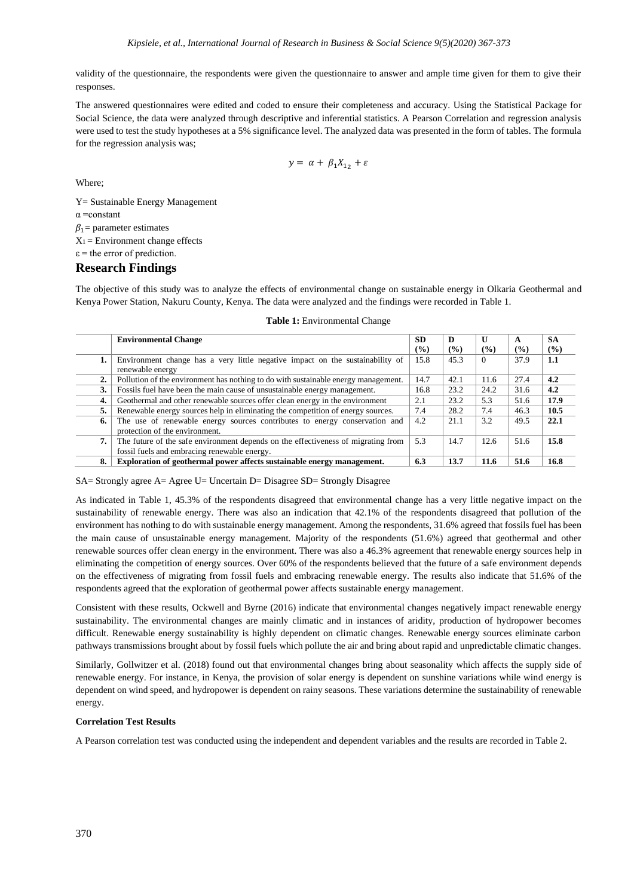validity of the questionnaire, the respondents were given the questionnaire to answer and ample time given for them to give their responses.

The answered questionnaires were edited and coded to ensure their completeness and accuracy. Using the Statistical Package for Social Science, the data were analyzed through descriptive and inferential statistics. A Pearson Correlation and regression analysis were used to test the study hypotheses at a 5% significance level. The analyzed data was presented in the form of tables. The formula for the regression analysis was;

$$
y = \alpha + \beta_1 X_{1_2} + \varepsilon
$$

Where;

Y= Sustainable Energy Management α =constant  $\beta_1$ = parameter estimates  $X_1$  = Environment change effects  $\varepsilon$  = the error of prediction.

### **Research Findings**

The objective of this study was to analyze the effects of environmental change on sustainable energy in Olkaria Geothermal and Kenya Power Station, Nakuru County, Kenya. The data were analyzed and the findings were recorded in Table 1.

|    | <b>Environmental Change</b>                                                        | <b>SD</b> | D    | U        | A      | <b>SA</b> |
|----|------------------------------------------------------------------------------------|-----------|------|----------|--------|-----------|
|    |                                                                                    | $($ %)    | (%)  | $($ %)   | $($ %) | (%)       |
| 1. | Environment change has a very little negative impact on the sustainability of      | 15.8      | 45.3 | $\Omega$ | 37.9   | 1.1       |
|    | renewable energy                                                                   |           |      |          |        |           |
| 2. | Pollution of the environment has nothing to do with sustainable energy management. | 14.7      | 42.1 | 11.6     | 27.4   | 4.2       |
| 3. | Fossils fuel have been the main cause of unsustainable energy management.          | 16.8      | 23.2 | 24.2     | 31.6   | 4.2       |
| 4. | Geothermal and other renewable sources offer clean energy in the environment       | 2.1       | 23.2 | 5.3      | 51.6   | 17.9      |
| 5. | Renewable energy sources help in eliminating the competition of energy sources.    | 7.4       | 28.2 | 7.4      | 46.3   | 10.5      |
| 6. | The use of renewable energy sources contributes to energy conservation and         | 4.2       | 21.1 | 3.2      | 49.5   | 22.1      |
|    | protection of the environment.                                                     |           |      |          |        |           |
| 7. | The future of the safe environment depends on the effectiveness of migrating from  | 5.3       | 14.7 | 12.6     | 51.6   | 15.8      |
|    | fossil fuels and embracing renewable energy.                                       |           |      |          |        |           |
| 8. | Exploration of geothermal power affects sustainable energy management.             | 6.3       | 13.7 | 11.6     | 51.6   | 16.8      |

| Table 1: Environmental Change |  |
|-------------------------------|--|
|-------------------------------|--|

SA= Strongly agree A= Agree U= Uncertain D= Disagree SD= Strongly Disagree

As indicated in Table 1, 45.3% of the respondents disagreed that environmental change has a very little negative impact on the sustainability of renewable energy. There was also an indication that 42.1% of the respondents disagreed that pollution of the environment has nothing to do with sustainable energy management. Among the respondents, 31.6% agreed that fossils fuel has been the main cause of unsustainable energy management. Majority of the respondents (51.6%) agreed that geothermal and other renewable sources offer clean energy in the environment. There was also a 46.3% agreement that renewable energy sources help in eliminating the competition of energy sources. Over 60% of the respondents believed that the future of a safe environment depends on the effectiveness of migrating from fossil fuels and embracing renewable energy. The results also indicate that 51.6% of the respondents agreed that the exploration of geothermal power affects sustainable energy management.

Consistent with these results, Ockwell and Byrne (2016) indicate that environmental changes negatively impact renewable energy sustainability. The environmental changes are mainly climatic and in instances of aridity, production of hydropower becomes difficult. Renewable energy sustainability is highly dependent on climatic changes. Renewable energy sources eliminate carbon pathways transmissions brought about by fossil fuels which pollute the air and bring about rapid and unpredictable climatic changes.

Similarly, Gollwitzer et al. (2018) found out that environmental changes bring about seasonality which affects the supply side of renewable energy. For instance, in Kenya, the provision of solar energy is dependent on sunshine variations while wind energy is dependent on wind speed, and hydropower is dependent on rainy seasons. These variations determine the sustainability of renewable energy.

### **Correlation Test Results**

A Pearson correlation test was conducted using the independent and dependent variables and the results are recorded in Table 2.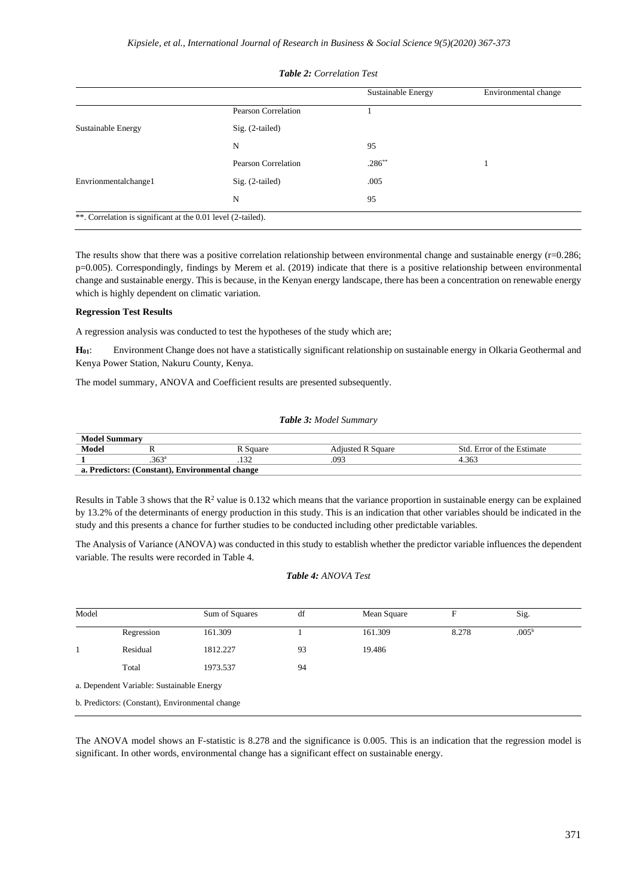|                      |                     | Sustainable Energy | Environmental change |
|----------------------|---------------------|--------------------|----------------------|
|                      | Pearson Correlation |                    |                      |
| Sustainable Energy   | $Sig. (2-tailed)$   |                    |                      |
|                      | N                   | 95                 |                      |
| Envrionmentalchange1 | Pearson Correlation | $.286^{**}$        |                      |
|                      | $Sig. (2-tailed)$   | .005               |                      |
|                      | N                   | 95                 |                      |

#### *Table 2: Correlation Test*

The results show that there was a positive correlation relationship between environmental change and sustainable energy (r=0.286; p=0.005). Correspondingly, findings by Merem et al. (2019) indicate that there is a positive relationship between environmental change and sustainable energy. This is because, in the Kenyan energy landscape, there has been a concentration on renewable energy which is highly dependent on climatic variation.

### **Regression Test Results**

A regression analysis was conducted to test the hypotheses of the study which are;

**H01**: Environment Change does not have a statistically significant relationship on sustainable energy in Olkaria Geothermal and Kenya Power Station, Nakuru County, Kenya.

The model summary, ANOVA and Coefficient results are presented subsequently.

#### *Table 3: Model Summary*

| <b>Model Summary</b>                            |                   |        |                    |                            |  |  |  |
|-------------------------------------------------|-------------------|--------|--------------------|----------------------------|--|--|--|
| <b>Model</b>                                    |                   | Square | Square<br>Adıusted | Std. Error of the Estimate |  |  |  |
|                                                 | .363 <sup>°</sup> | $\sim$ | .093               | 4.363                      |  |  |  |
| a. Predictors: (Constant), Environmental change |                   |        |                    |                            |  |  |  |

Results in Table 3 shows that the  $R^2$  value is 0.132 which means that the variance proportion in sustainable energy can be explained by 13.2% of the determinants of energy production in this study. This is an indication that other variables should be indicated in the study and this presents a chance for further studies to be conducted including other predictable variables.

The Analysis of Variance (ANOVA) was conducted in this study to establish whether the predictor variable influences the dependent variable. The results were recorded in Table 4.

### *Table 4: ANOVA Test*

| Model |                                                 | Sum of Squares | df | Mean Square | F     | Sig.              |  |
|-------|-------------------------------------------------|----------------|----|-------------|-------|-------------------|--|
|       | Regression                                      | 161.309        |    | 161.309     | 8.278 | .005 <sup>b</sup> |  |
|       | Residual                                        | 1812.227       | 93 | 19.486      |       |                   |  |
|       | Total                                           | 1973.537       | 94 |             |       |                   |  |
|       | a. Dependent Variable: Sustainable Energy       |                |    |             |       |                   |  |
|       | b. Predictors: (Constant), Environmental change |                |    |             |       |                   |  |

The ANOVA model shows an F-statistic is 8.278 and the significance is 0.005. This is an indication that the regression model is significant. In other words, environmental change has a significant effect on sustainable energy.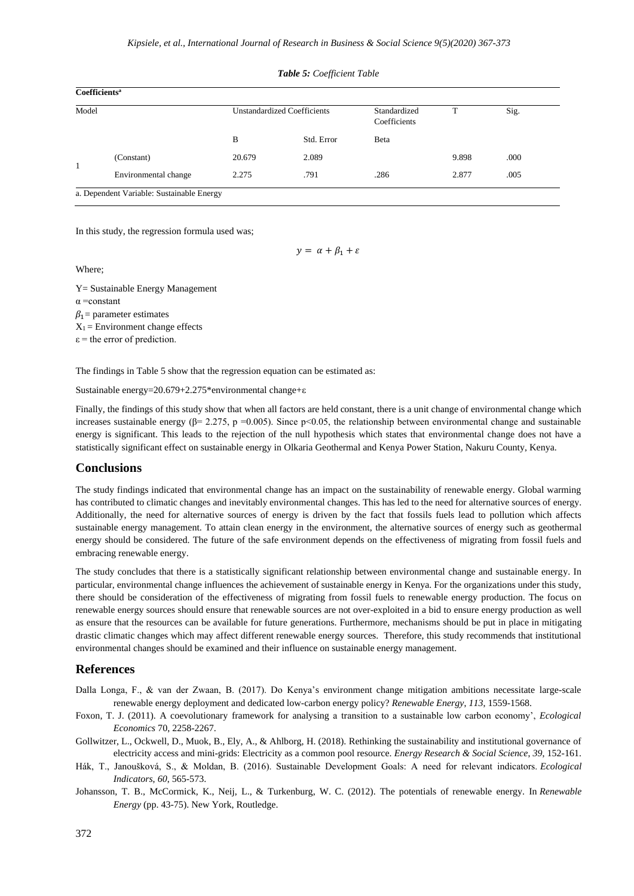| <b>Coefficients<sup>a</sup></b><br>Model |                                           |        | <b>Unstandardized Coefficients</b> |      | ௱     | Sig. |  |
|------------------------------------------|-------------------------------------------|--------|------------------------------------|------|-------|------|--|
|                                          |                                           | B      | Std. Error                         | Beta |       |      |  |
| 1                                        | (Constant)                                | 20.679 | 2.089                              |      | 9.898 | .000 |  |
|                                          | Environmental change                      | 2.275  | .791                               | .286 | 2.877 | .005 |  |
|                                          | a. Dependent Variable: Sustainable Energy |        |                                    |      |       |      |  |

 $y = \alpha + \beta_1 + \varepsilon$ 

#### *Table 5: Coefficient Table*

In this study, the regression formula used was;

Where;

Y= Sustainable Energy Management α =constant  $\beta_1$ = parameter estimates  $X_1$  = Environment change effects  $\varepsilon$  = the error of prediction.

The findings in Table 5 show that the regression equation can be estimated as:

Sustainable energy=20.679+2.275\*environmental change+ε

Finally, the findings of this study show that when all factors are held constant, there is a unit change of environmental change which increases sustainable energy ( $\beta$ = 2.275, p = 0.005). Since p<0.05, the relationship between environmental change and sustainable energy is significant. This leads to the rejection of the null hypothesis which states that environmental change does not have a statistically significant effect on sustainable energy in Olkaria Geothermal and Kenya Power Station, Nakuru County, Kenya.

### **Conclusions**

The study findings indicated that environmental change has an impact on the sustainability of renewable energy. Global warming has contributed to climatic changes and inevitably environmental changes. This has led to the need for alternative sources of energy. Additionally, the need for alternative sources of energy is driven by the fact that fossils fuels lead to pollution which affects sustainable energy management. To attain clean energy in the environment, the alternative sources of energy such as geothermal energy should be considered. The future of the safe environment depends on the effectiveness of migrating from fossil fuels and embracing renewable energy.

The study concludes that there is a statistically significant relationship between environmental change and sustainable energy. In particular, environmental change influences the achievement of sustainable energy in Kenya. For the organizations under this study, there should be consideration of the effectiveness of migrating from fossil fuels to renewable energy production. The focus on renewable energy sources should ensure that renewable sources are not over-exploited in a bid to ensure energy production as well as ensure that the resources can be available for future generations. Furthermore, mechanisms should be put in place in mitigating drastic climatic changes which may affect different renewable energy sources. Therefore, this study recommends that institutional environmental changes should be examined and their influence on sustainable energy management.

### **References**

- Dalla Longa, F., & van der Zwaan, B. (2017). Do Kenya's environment change mitigation ambitions necessitate large-scale renewable energy deployment and dedicated low-carbon energy policy? *Renewable Energy*, *113*, 1559-1568.
- Foxon, T. J. (2011). A coevolutionary framework for analysing a transition to a sustainable low carbon economy', *Ecological Economics* 70, 2258-2267.
- Gollwitzer, L., Ockwell, D., Muok, B., Ely, A., & Ahlborg, H. (2018). Rethinking the sustainability and institutional governance of electricity access and mini-grids: Electricity as a common pool resource. *Energy Research & Social Science*, *39*, 152-161.
- Hák, T., Janoušková, S., & Moldan, B. (2016). Sustainable Development Goals: A need for relevant indicators. *Ecological Indicators*, *60*, 565-573.
- Johansson, T. B., McCormick, K., Neij, L., & Turkenburg, W. C. (2012). The potentials of renewable energy. In *Renewable Energy* (pp. 43-75). New York, Routledge.